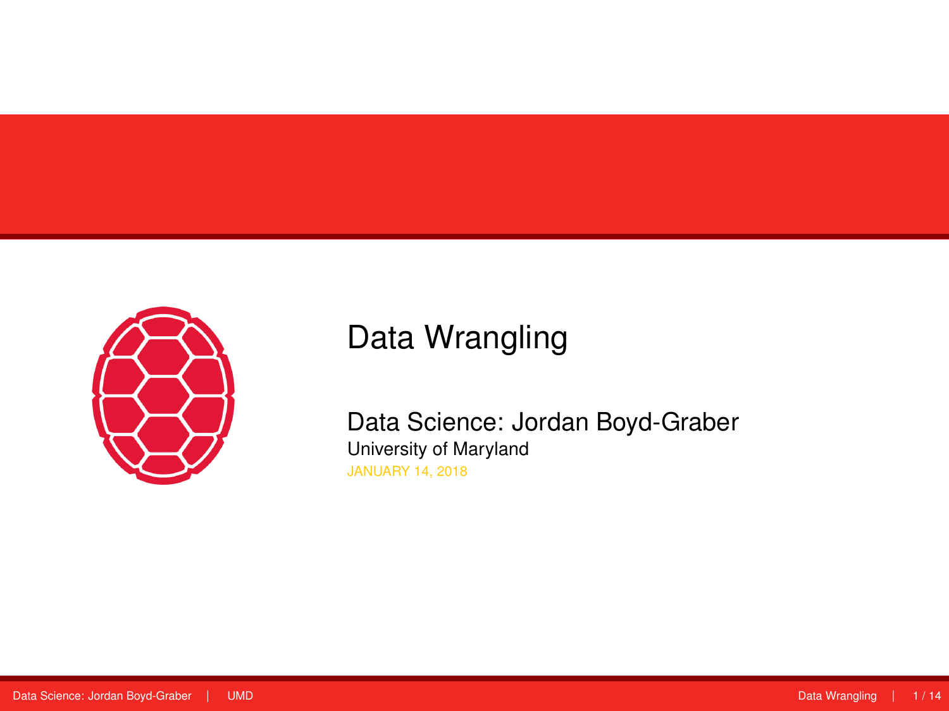<span id="page-0-0"></span>

# Data Wrangling

Data Science: Jordan Boyd-Graber University of Maryland JANUARY 14, 2018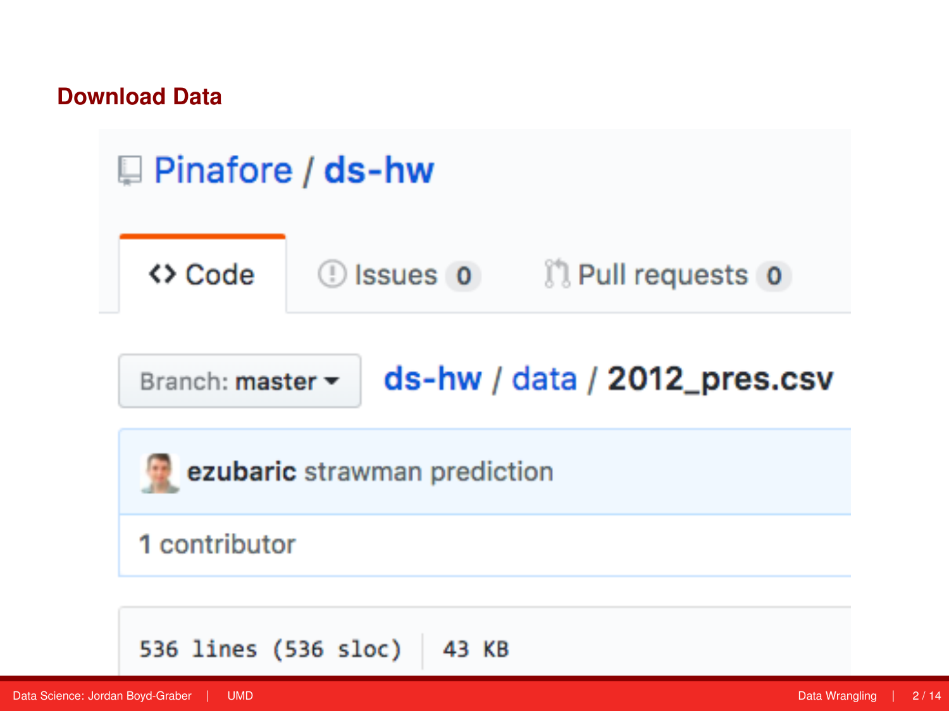#### **Download Data**

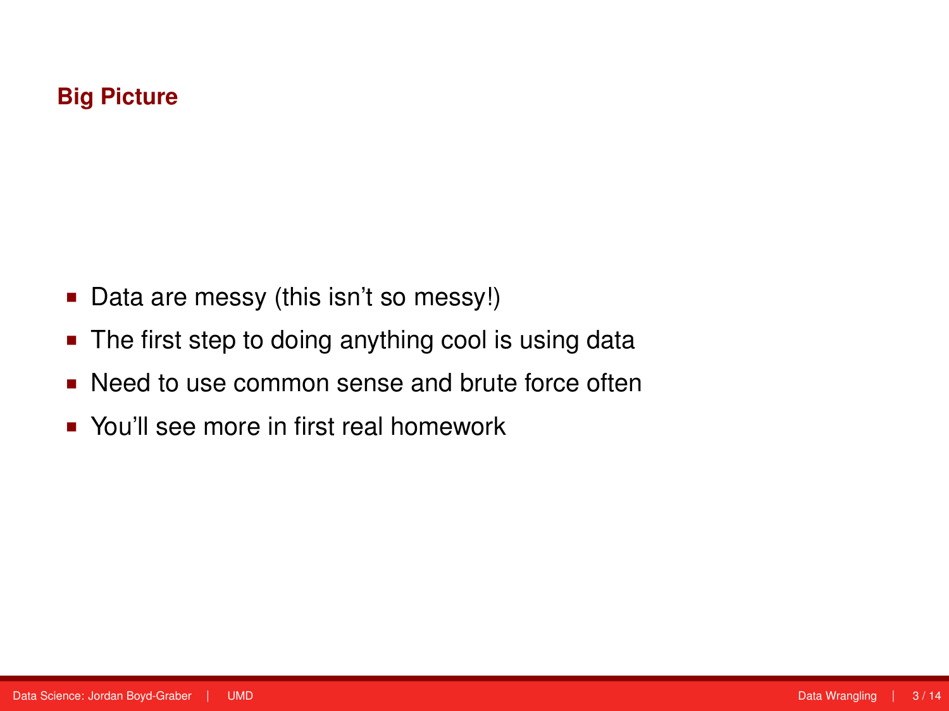#### **Big Picture**

- Data are messy (this isn't so messy!)
- The first step to doing anything cool is using data
- Need to use common sense and brute force often
- You'll see more in first real homework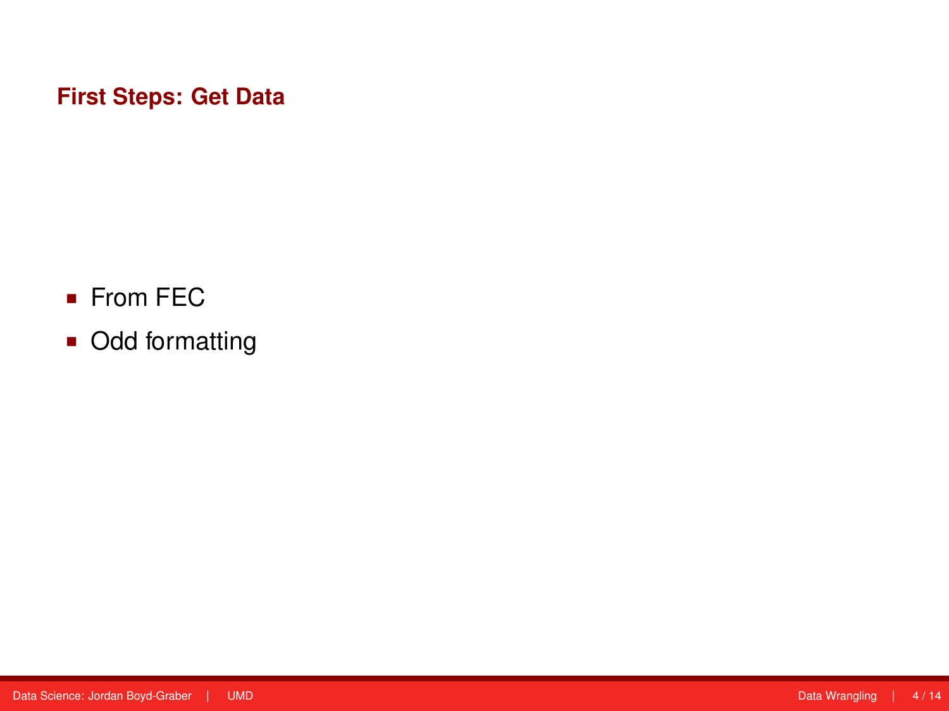### **First Steps: Get Data**

- From FEC
- Odd formatting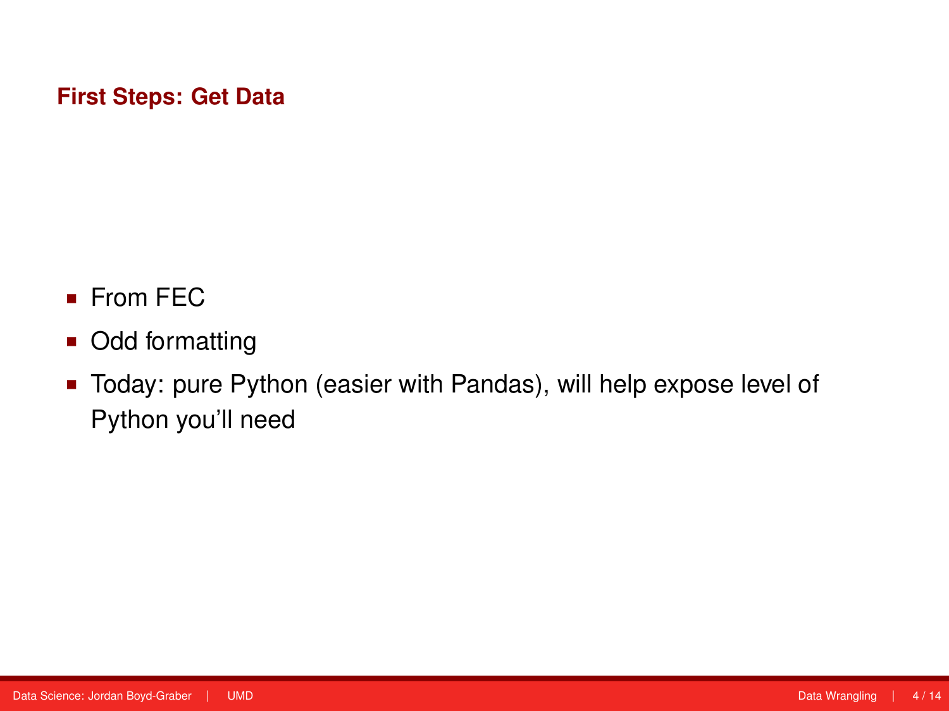#### **First Steps: Get Data**

- **From FEC**
- Odd formatting
- Today: pure Python (easier with Pandas), will help expose level of Python you'll need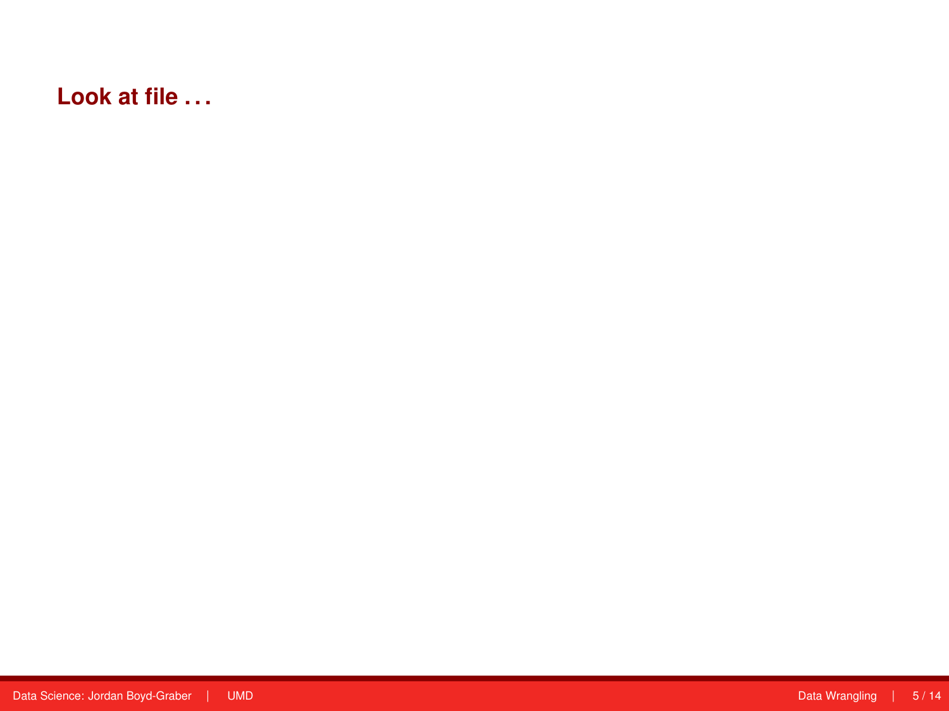### **Look at file . . .**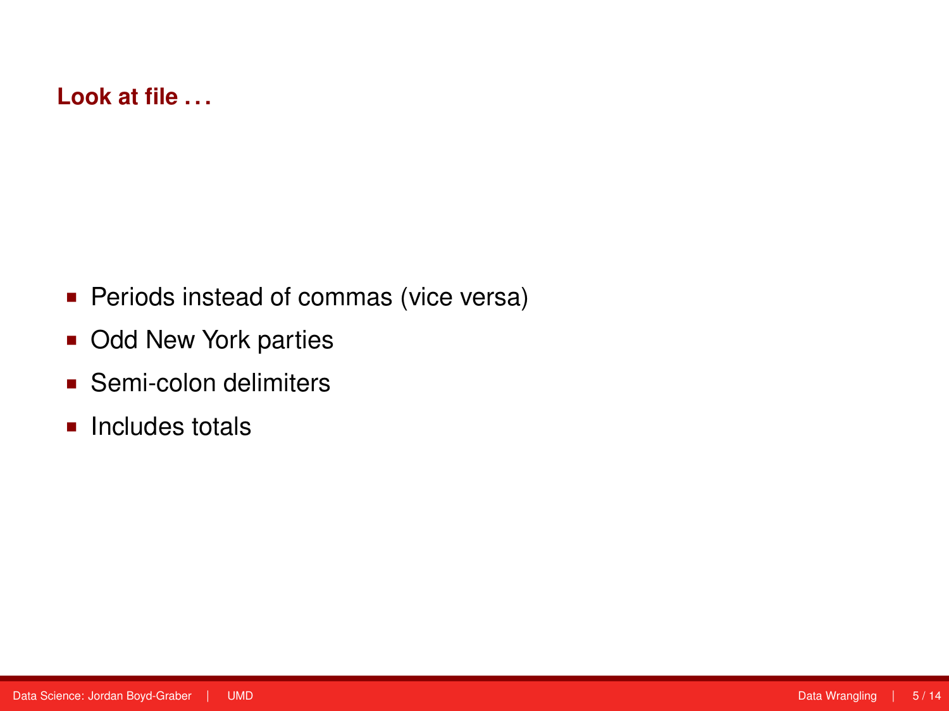#### **Look at file . . .**

- **Periods instead of commas (vice versa)**
- **Odd New York parties**
- **Semi-colon delimiters**
- $\blacksquare$  Includes totals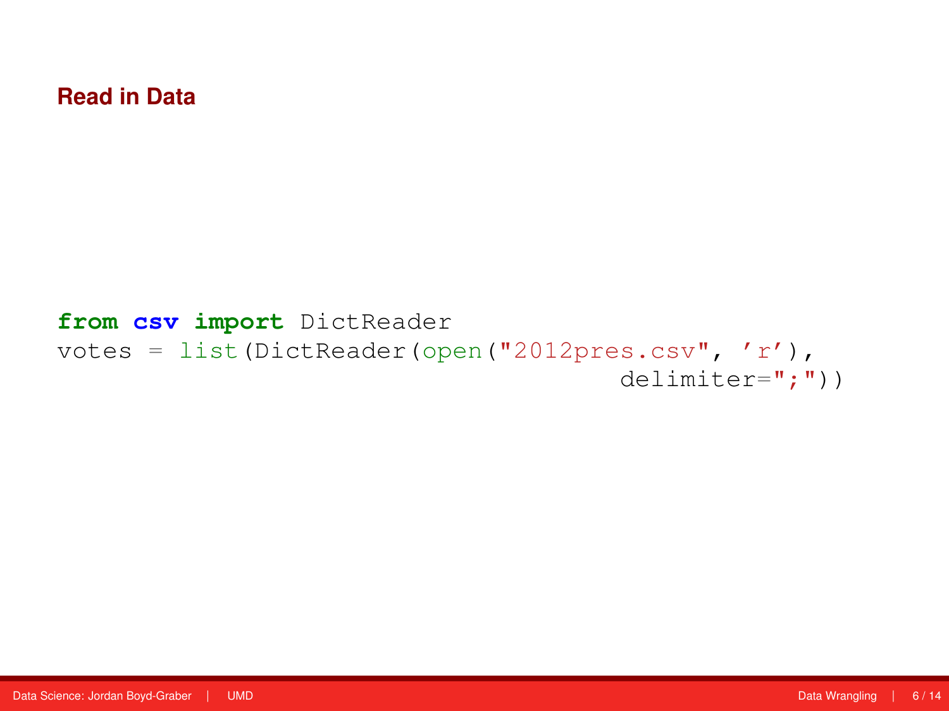#### **from csv import** DictReader votes = list(DictReader(open("2012pres.csv", 'r'), delimiter=";"))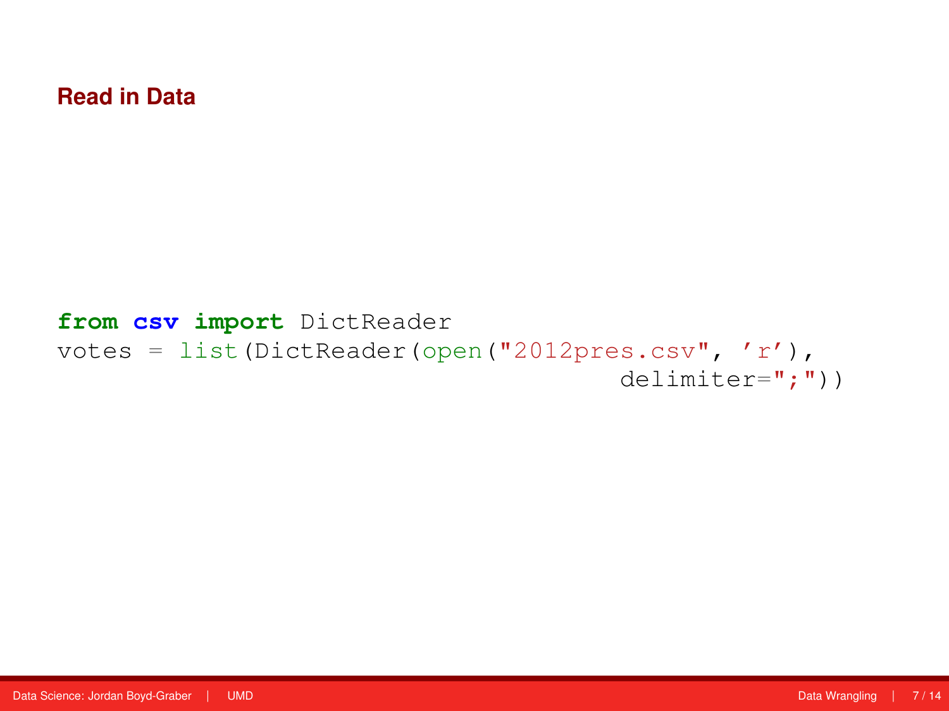#### **from csv import** DictReader votes = list(DictReader(open("2012pres.csv", 'r'), delimiter=";"))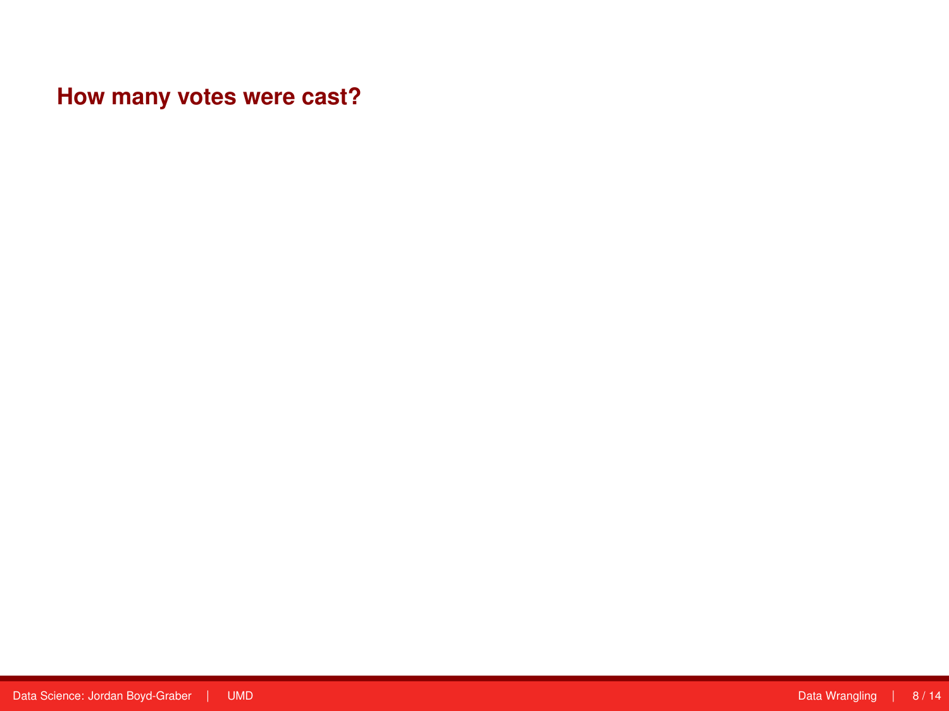**How many votes were cast?**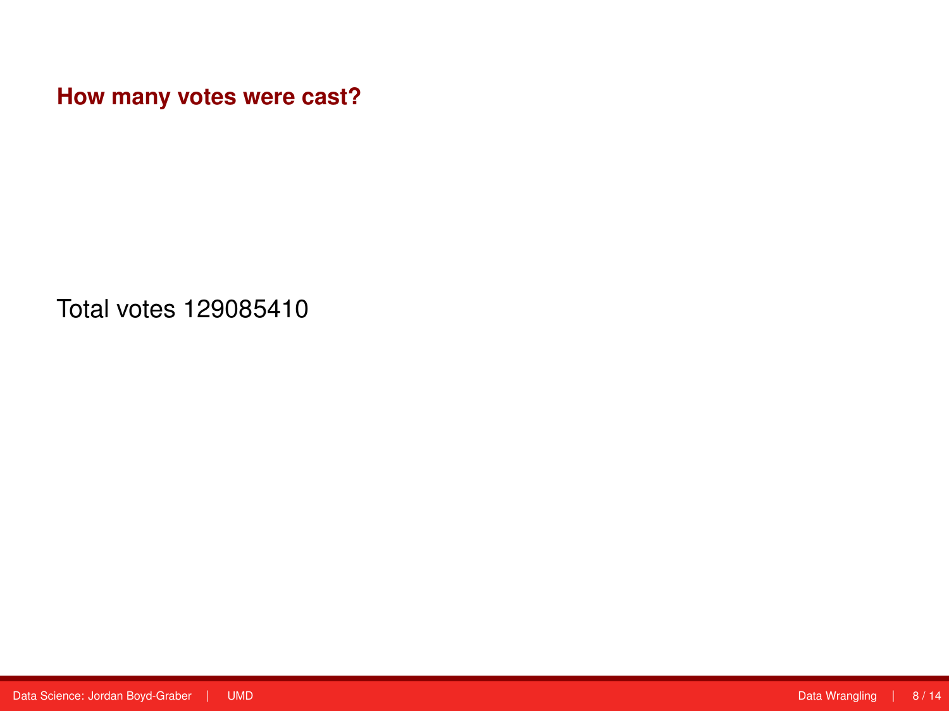**How many votes were cast?**

Total votes 129085410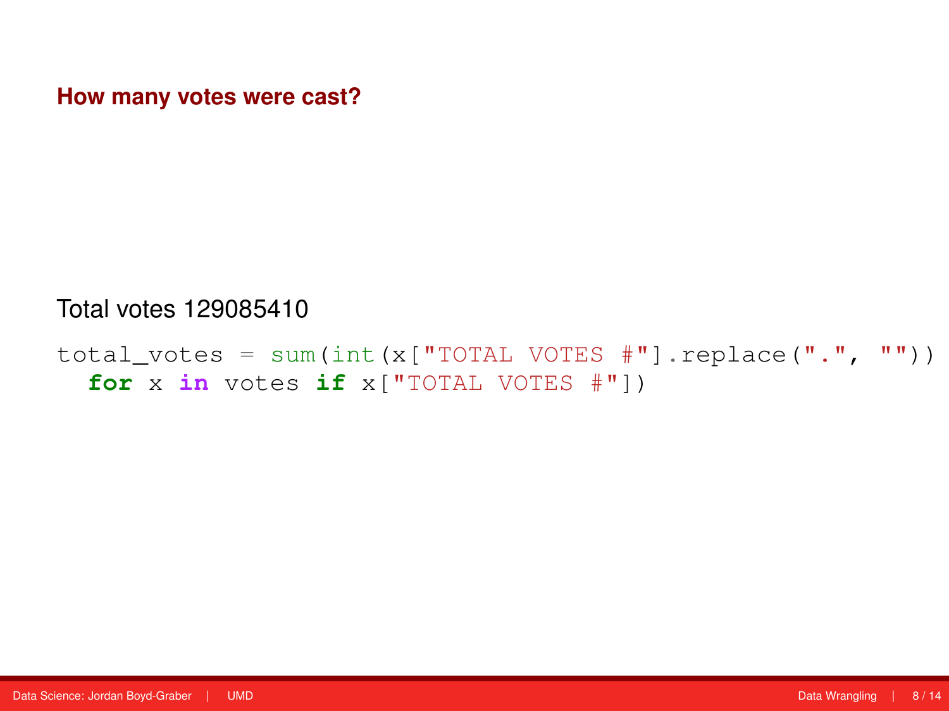**How many votes were cast?**

#### Total votes 129085410

total\_votes = sum(int(x["TOTAL VOTES  $\#$ "].replace(".", "")) **for** x **in** votes **if** x["TOTAL VOTES #"])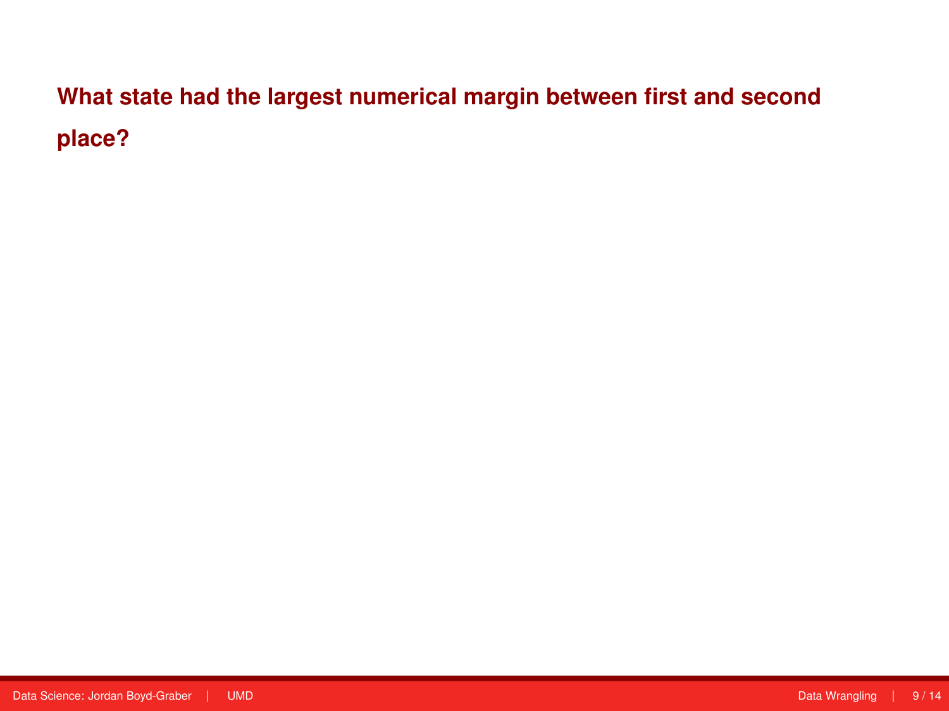# **What state had the largest numerical margin between first and second place?**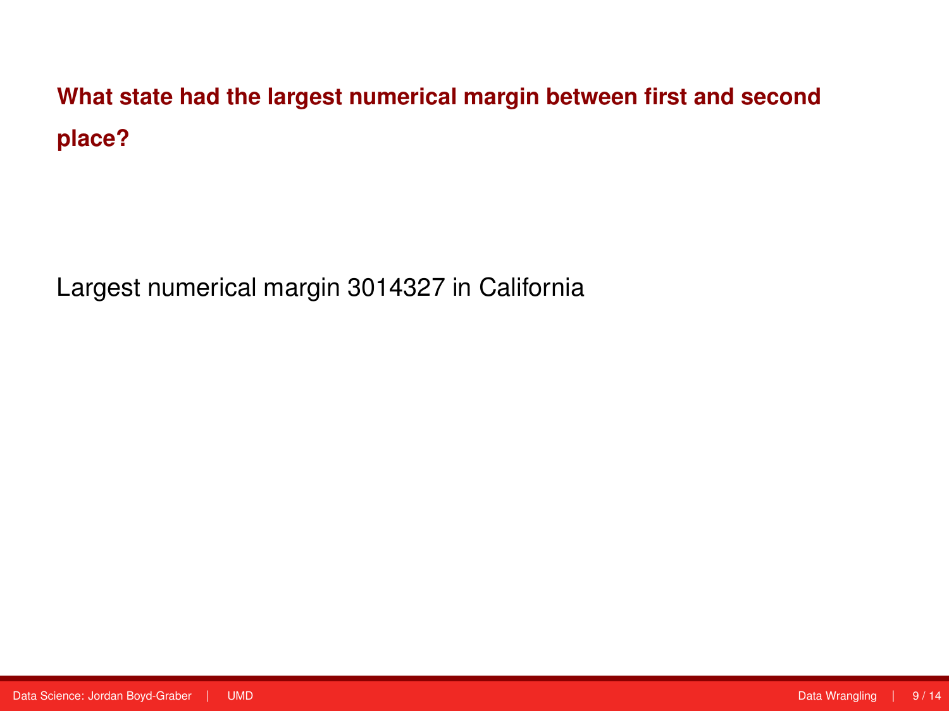**What state had the largest numerical margin between first and second place?**

Largest numerical margin 3014327 in California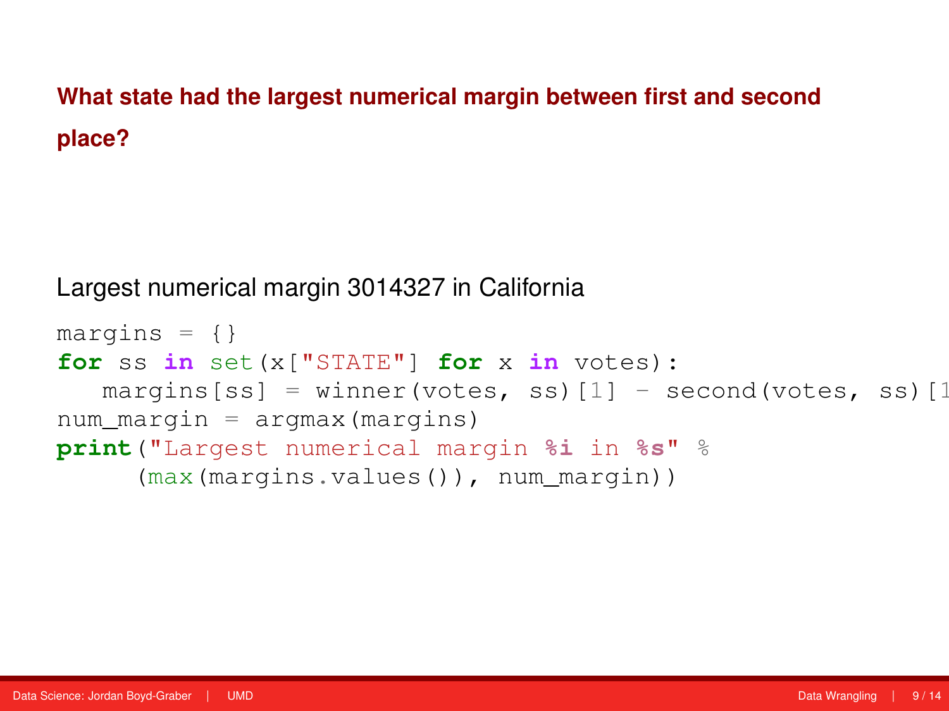## **What state had the largest numerical margin between first and second place?**

Largest numerical margin 3014327 in California

```
margins = \{\}for ss in set(x["STATE"] for x in votes):
   margins[ss] = winner(votes, ss)[1] - second(votes, ss)[1]
num_margin = argmax(margins)
print("Largest numerical margin %i in %s" %
     (max(margins.values()), num_margin))
```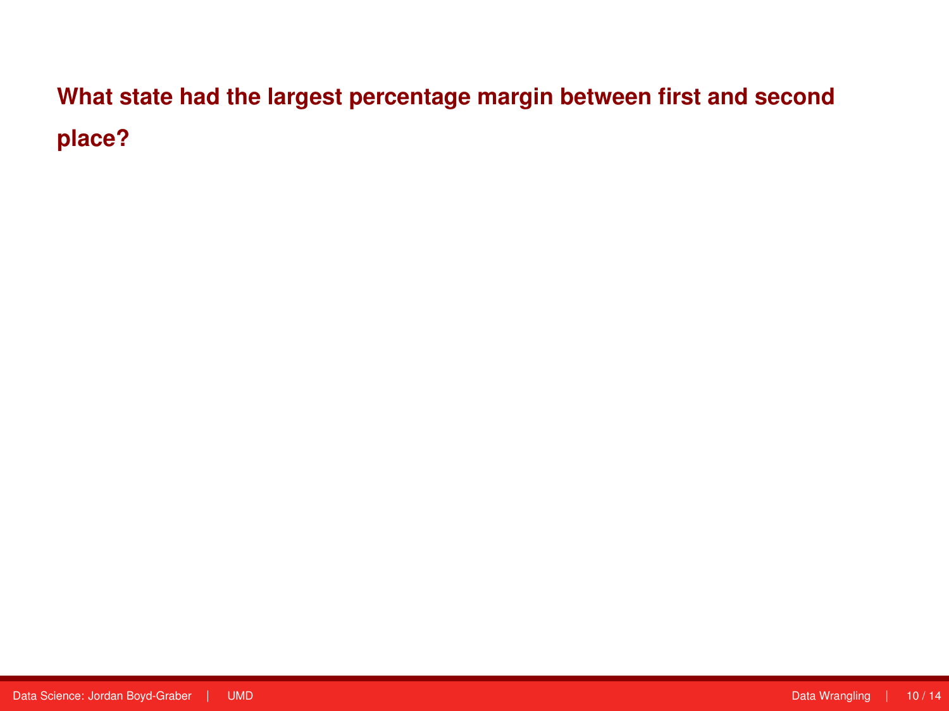**What state had the largest percentage margin between first and second place?**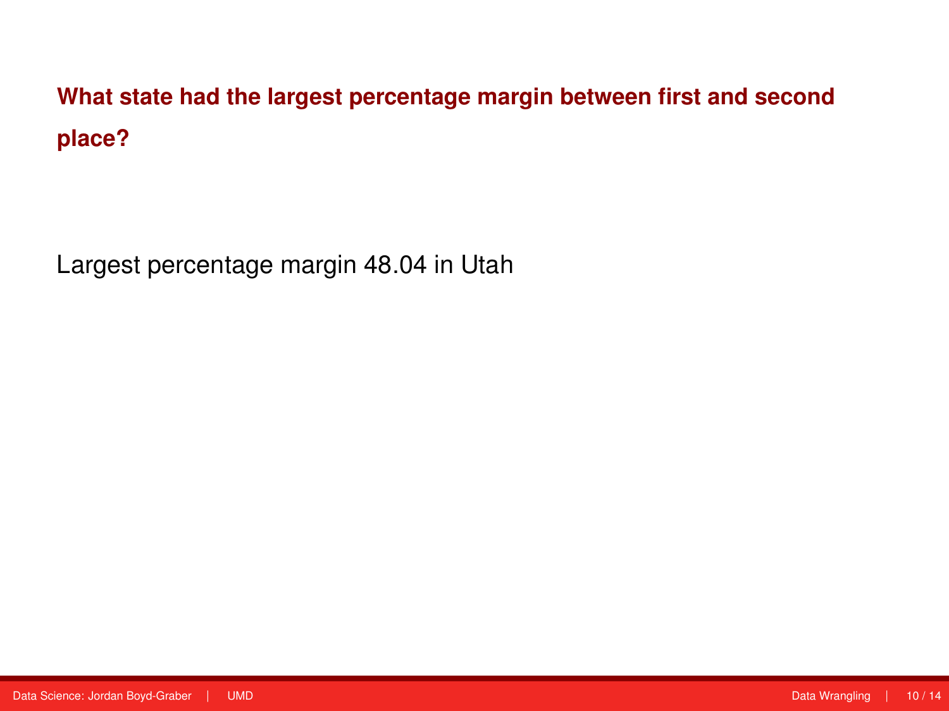**What state had the largest percentage margin between first and second place?**

Largest percentage margin 48.04 in Utah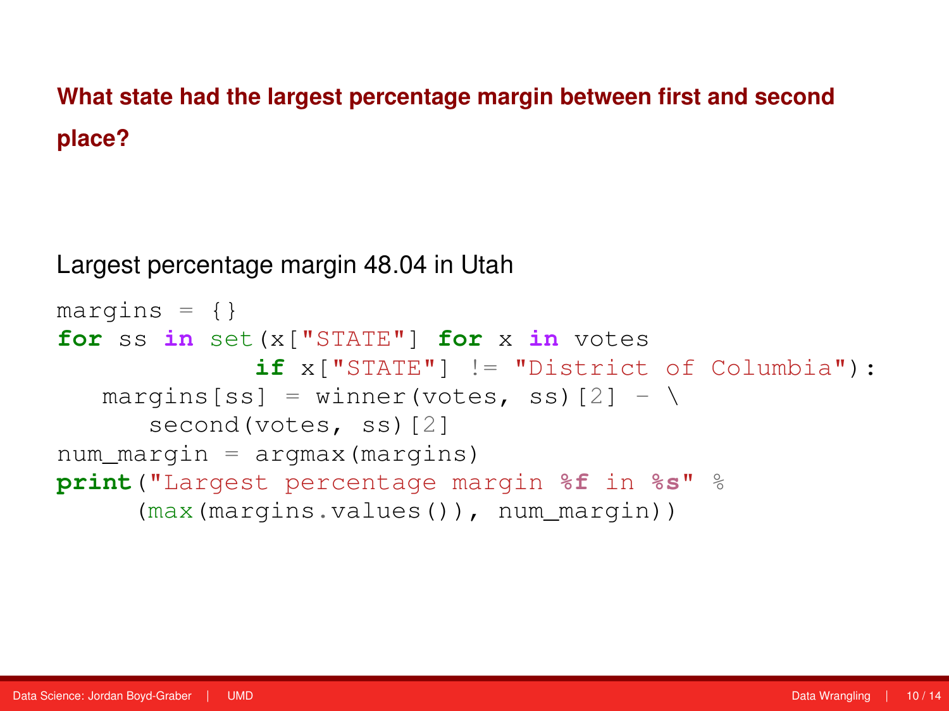## **What state had the largest percentage margin between first and second place?**

Largest percentage margin 48.04 in Utah

```
margins = \{\}for ss in set(x["STATE"] for x in votes
             if x["STATE"] != "District of Columbia"):
   margins[ss] = winner(votes, ss)[2] - \setminussecond(votes, ss)[2]
num margin = argmax(margins)
print("Largest percentage margin %f in %s" %
     (max(margins.values()), num_margin))
```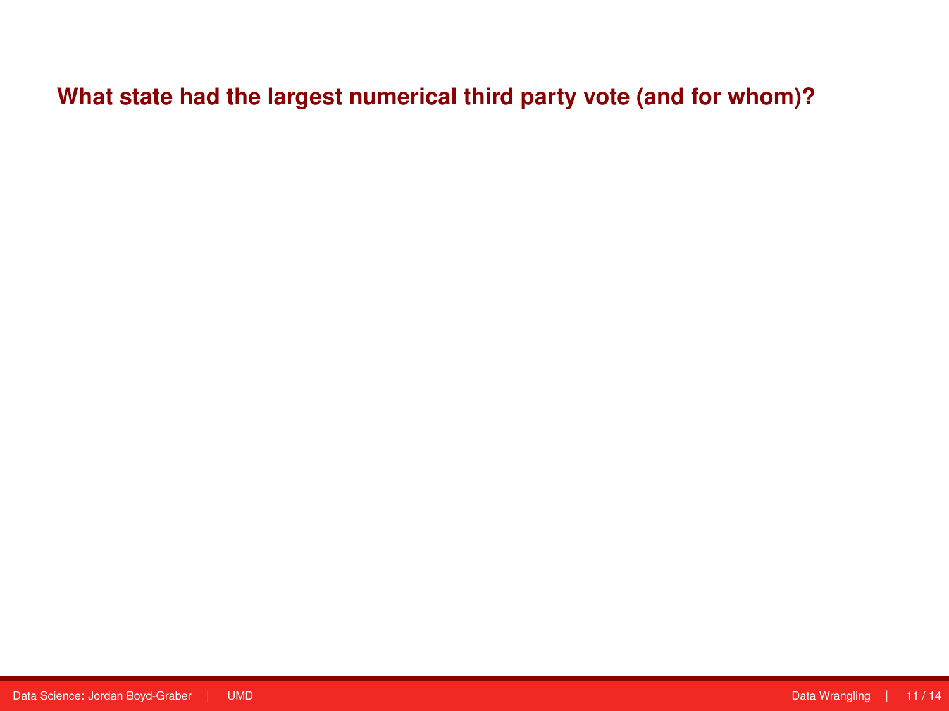## **What state had the largest numerical third party vote (and for whom)?**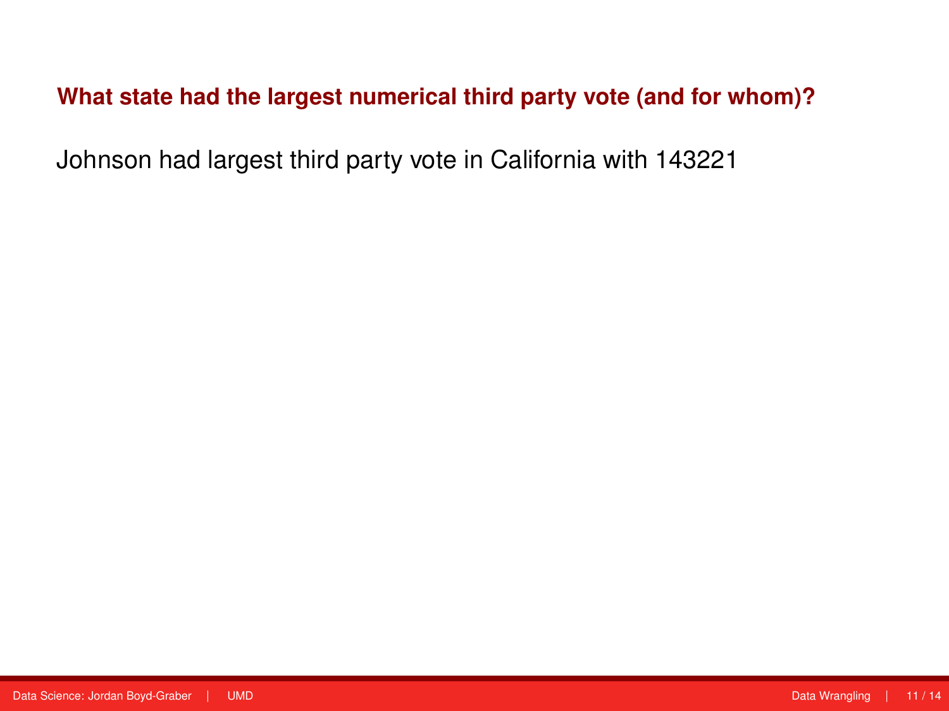#### **What state had the largest numerical third party vote (and for whom)?**

Johnson had largest third party vote in California with 143221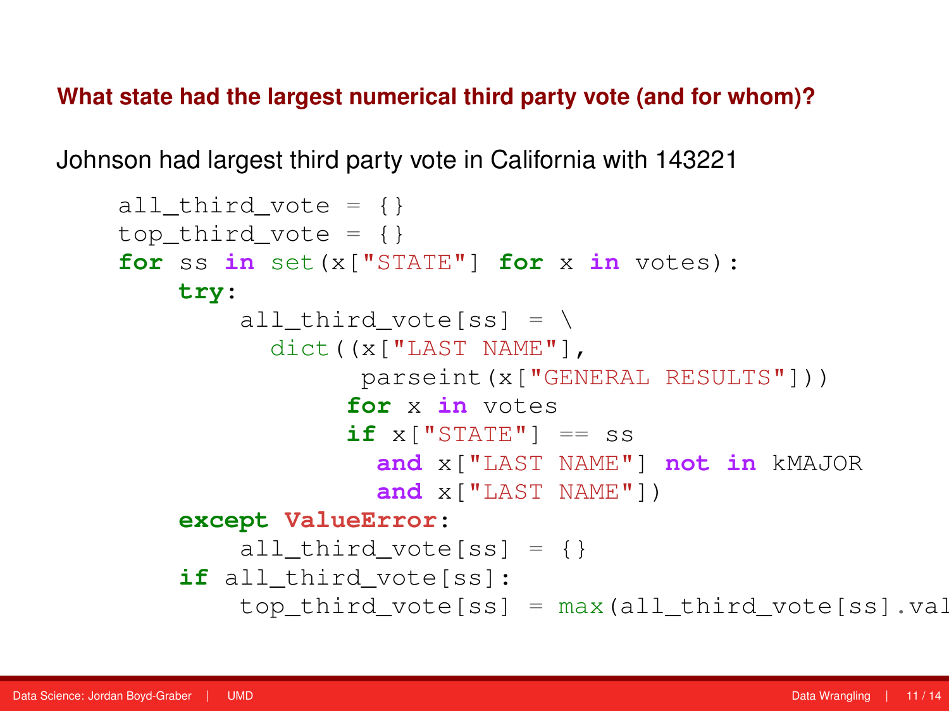**What state had the largest numerical third party vote (and for whom)?**

Johnson had largest third party vote in California with 143221

```
all_third_vote = \{\}top third vote = \{ \}for ss in set(x["STATE"] for x in votes):
    try:
        all third vote[ss] = \setminusdict((x["LAST NAME"],
                parseint(x["GENERAL RESULTS"]))
                for x in votes
                if x['STATE"] = sand x["LAST NAME"] not in kMAJOR
                  and x["LAST NAME"])
    except ValueError:
        all third vote[ss] = \{ \}if all_third_vote[ss]:
        top third vote[ss] = max(all\_third\_vote[ss],val)
```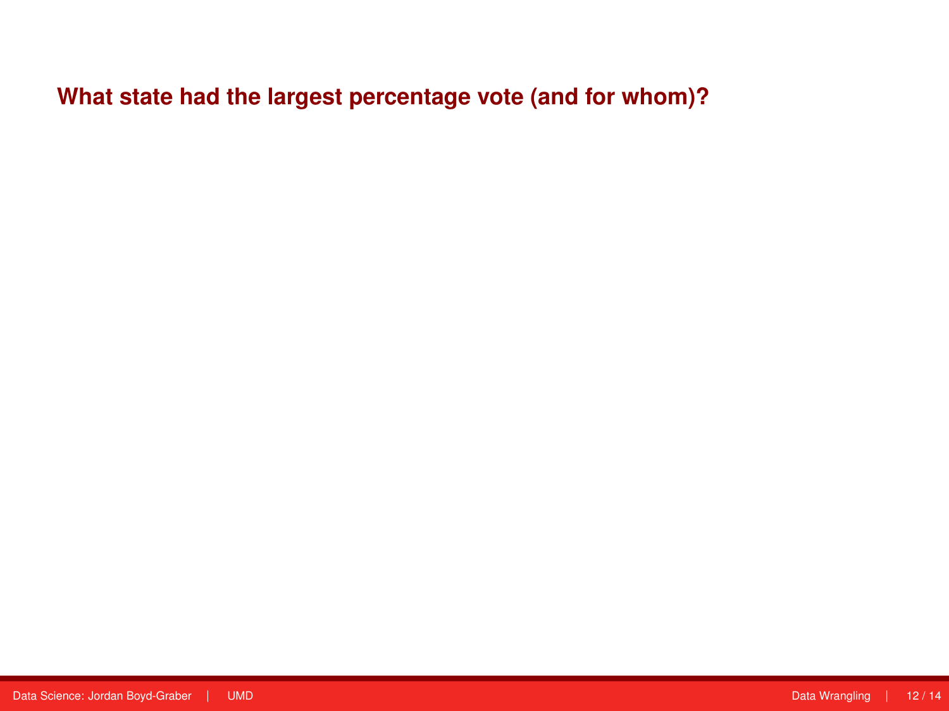**What state had the largest percentage vote (and for whom)?**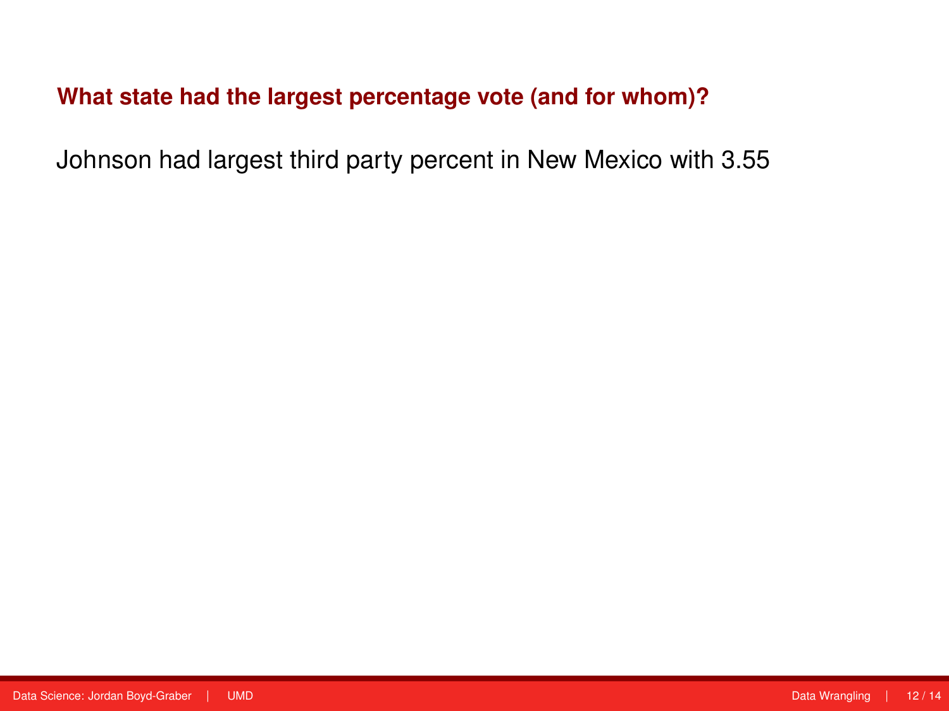### **What state had the largest percentage vote (and for whom)?**

Johnson had largest third party percent in New Mexico with 3.55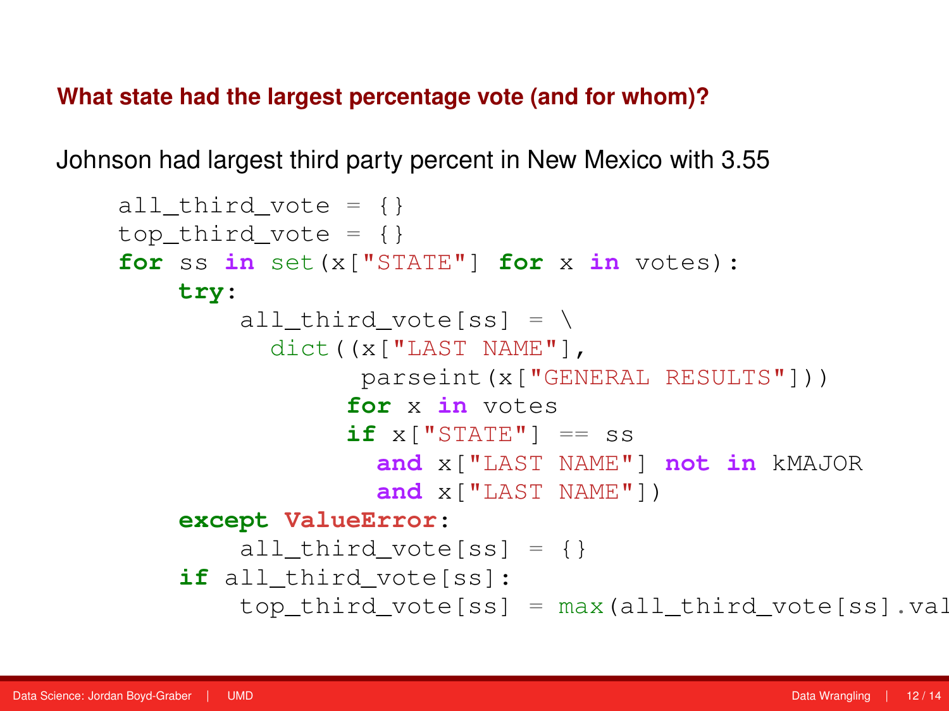**What state had the largest percentage vote (and for whom)?**

Johnson had largest third party percent in New Mexico with 3.55

```
all_third_vote = \{\}top third vote = \{ \}for ss in set(x["STATE"] for x in votes):
    try:
        all third vote[ss] = \setminusdict((x["LAST NAME"],
                parseint(x["GENERAL RESULTS"]))
                for x in votes
                if x['STATE"] = sand x["LAST NAME"] not in kMAJOR
                  and x["LAST NAME"])
    except ValueError:
        all third vote[ss] = \{\}if all_third_vote[ss]:
        top third vote[ss] = max(all\_third\_vote[ss],val)
```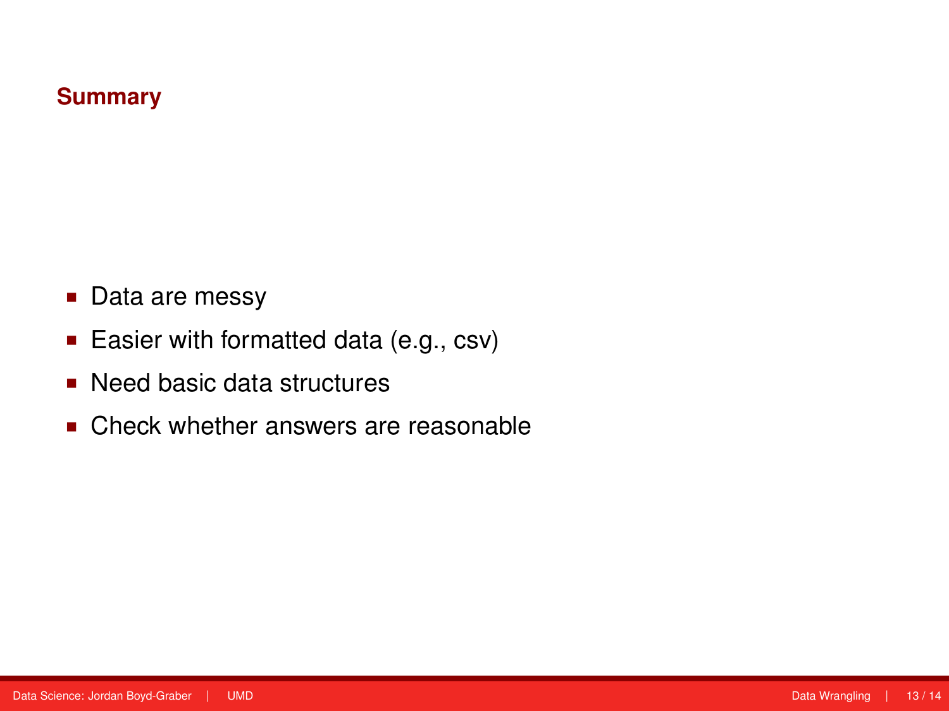#### **Summary**

- Data are messy
- **Easier with formatted data (e.g., csv)**
- Need basic data structures
- Check whether answers are reasonable